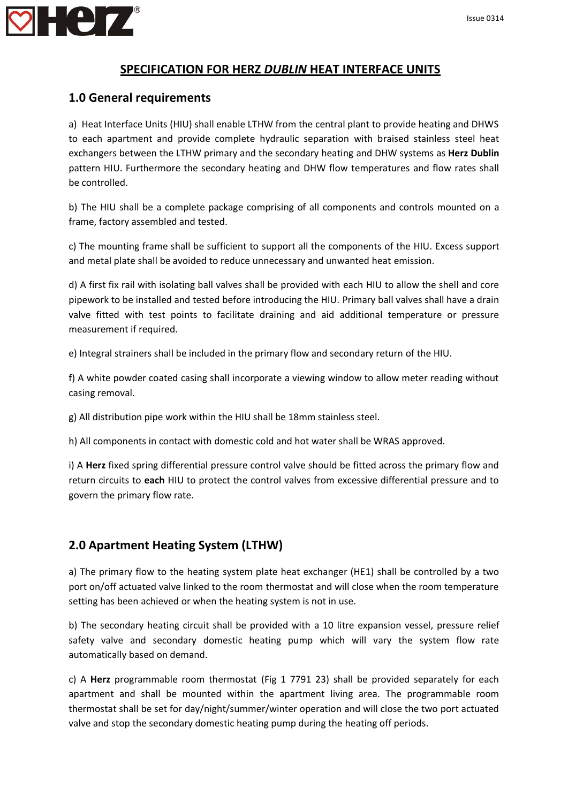

#### **SPECIFICATION FOR HERZ** *DUBLIN* **HEAT INTERFACE UNITS**

#### **1.0 General requirements**

a) Heat Interface Units (HIU) shall enable LTHW from the central plant to provide heating and DHWS to each apartment and provide complete hydraulic separation with braised stainless steel heat exchangers between the LTHW primary and the secondary heating and DHW systems as **Herz Dublin** pattern HIU. Furthermore the secondary heating and DHW flow temperatures and flow rates shall be controlled.

b) The HIU shall be a complete package comprising of all components and controls mounted on a frame, factory assembled and tested.

c) The mounting frame shall be sufficient to support all the components of the HIU. Excess support and metal plate shall be avoided to reduce unnecessary and unwanted heat emission.

d) A first fix rail with isolating ball valves shall be provided with each HIU to allow the shell and core pipework to be installed and tested before introducing the HIU. Primary ball valves shall have a drain valve fitted with test points to facilitate draining and aid additional temperature or pressure measurement if required.

e) Integral strainers shall be included in the primary flow and secondary return of the HIU.

f) A white powder coated casing shall incorporate a viewing window to allow meter reading without casing removal.

g) All distribution pipe work within the HIU shall be 18mm stainless steel.

h) All components in contact with domestic cold and hot water shall be WRAS approved.

i) A **Herz** fixed spring differential pressure control valve should be fitted across the primary flow and return circuits to **each** HIU to protect the control valves from excessive differential pressure and to govern the primary flow rate.

### **2.0 Apartment Heating System (LTHW)**

a) The primary flow to the heating system plate heat exchanger (HE1) shall be controlled by a two port on/off actuated valve linked to the room thermostat and will close when the room temperature setting has been achieved or when the heating system is not in use.

b) The secondary heating circuit shall be provided with a 10 litre expansion vessel, pressure relief safety valve and secondary domestic heating pump which will vary the system flow rate automatically based on demand.

c) A **Herz** programmable room thermostat (Fig 1 7791 23) shall be provided separately for each apartment and shall be mounted within the apartment living area. The programmable room thermostat shall be set for day/night/summer/winter operation and will close the two port actuated valve and stop the secondary domestic heating pump during the heating off periods.